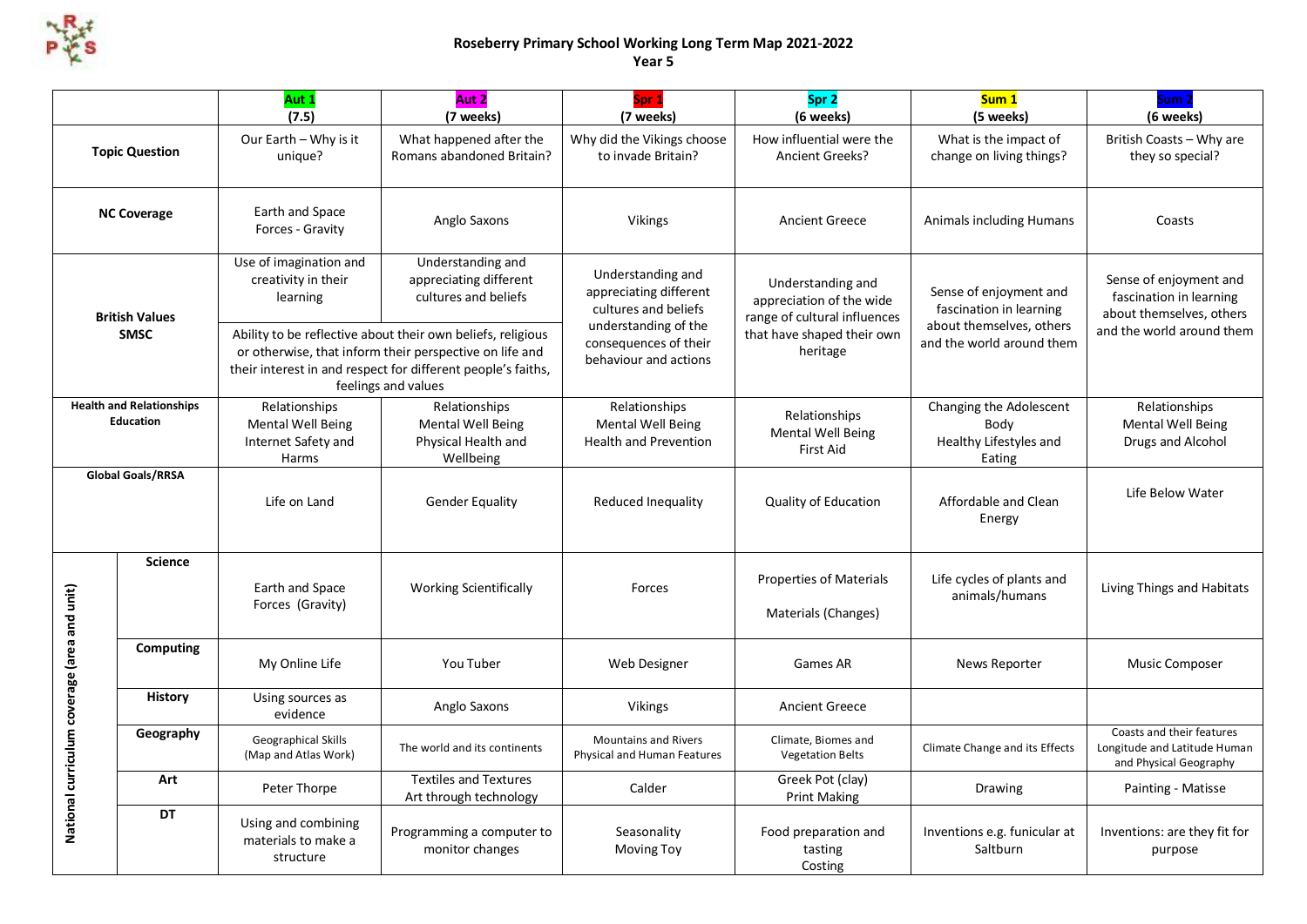

## **Roseberry Primary School Working Long Term Map 2021-2022 Year 5**

|                                                     |                | Aut 1<br>(7.5)                                                                                                                                                                                                | Aut 2<br>(7 weeks)                                                     | Spr 1<br>(7 weeks)                                                                          | Spr 2<br>(6 weeks)                                                            | Sum <sub>1</sub><br>(5 weeks)                                                 | Sum <sub>2</sub><br>(6 weeks)                                                                              |
|-----------------------------------------------------|----------------|---------------------------------------------------------------------------------------------------------------------------------------------------------------------------------------------------------------|------------------------------------------------------------------------|---------------------------------------------------------------------------------------------|-------------------------------------------------------------------------------|-------------------------------------------------------------------------------|------------------------------------------------------------------------------------------------------------|
| <b>Topic Question</b>                               |                | Our Earth - Why is it<br>unique?                                                                                                                                                                              | What happened after the<br>Romans abandoned Britain?                   | Why did the Vikings choose<br>to invade Britain?                                            | How influential were the<br><b>Ancient Greeks?</b>                            | What is the impact of<br>change on living things?                             | British Coasts - Why are<br>they so special?                                                               |
| <b>NC Coverage</b>                                  |                | Earth and Space<br>Forces - Gravity                                                                                                                                                                           | Anglo Saxons                                                           | Vikings                                                                                     | <b>Ancient Greece</b>                                                         | Animals including Humans                                                      | Coasts                                                                                                     |
| <b>British Values</b><br><b>SMSC</b>                |                | Use of imagination and<br>creativity in their<br>learning                                                                                                                                                     | Understanding and<br>appreciating different<br>cultures and beliefs    | Understanding and<br>appreciating different<br>cultures and beliefs<br>understanding of the | Understanding and<br>appreciation of the wide<br>range of cultural influences | Sense of enjoyment and<br>fascination in learning<br>about themselves, others | Sense of enjoyment and<br>fascination in learning<br>about themselves, others<br>and the world around them |
|                                                     |                | Ability to be reflective about their own beliefs, religious<br>or otherwise, that inform their perspective on life and<br>their interest in and respect for different people's faiths,<br>feelings and values |                                                                        | consequences of their<br>behaviour and actions                                              | that have shaped their own<br>heritage                                        | and the world around them                                                     |                                                                                                            |
| <b>Health and Relationships</b><br><b>Education</b> |                | Relationships<br><b>Mental Well Being</b><br>Internet Safety and<br>Harms                                                                                                                                     | Relationships<br>Mental Well Being<br>Physical Health and<br>Wellbeing | Relationships<br><b>Mental Well Being</b><br><b>Health and Prevention</b>                   | Relationships<br><b>Mental Well Being</b><br><b>First Aid</b>                 | Changing the Adolescent<br>Body<br>Healthy Lifestyles and<br>Eating           | Relationships<br><b>Mental Well Being</b><br>Drugs and Alcohol                                             |
| <b>Global Goals/RRSA</b>                            |                | Life on Land                                                                                                                                                                                                  | <b>Gender Equality</b>                                                 | Reduced Inequality                                                                          | <b>Quality of Education</b>                                                   | Affordable and Clean<br>Energy                                                | Life Below Water                                                                                           |
| National curriculum coverage (area and unit)        | <b>Science</b> | Earth and Space<br>Forces (Gravity)                                                                                                                                                                           | <b>Working Scientifically</b>                                          | Forces                                                                                      | <b>Properties of Materials</b><br>Materials (Changes)                         | Life cycles of plants and<br>animals/humans                                   | Living Things and Habitats                                                                                 |
|                                                     | Computing      | My Online Life                                                                                                                                                                                                | You Tuber                                                              | Web Designer                                                                                | Games AR                                                                      | News Reporter                                                                 | <b>Music Composer</b>                                                                                      |
|                                                     | <b>History</b> | Using sources as<br>evidence                                                                                                                                                                                  | Anglo Saxons                                                           | <b>Vikings</b>                                                                              | <b>Ancient Greece</b>                                                         |                                                                               |                                                                                                            |
|                                                     | Geography      | Geographical Skills<br>(Map and Atlas Work)                                                                                                                                                                   | The world and its continents                                           | <b>Mountains and Rivers</b><br>Physical and Human Features                                  | Climate, Biomes and<br><b>Vegetation Belts</b>                                | Climate Change and its Effects                                                | Coasts and their features<br>Longitude and Latitude Human<br>and Physical Geography                        |
|                                                     | Art            | Peter Thorpe                                                                                                                                                                                                  | <b>Textiles and Textures</b><br>Art through technology                 | Calder                                                                                      | Greek Pot (clay)<br><b>Print Making</b>                                       | Drawing                                                                       | Painting - Matisse                                                                                         |
|                                                     | <b>DT</b>      | Using and combining<br>materials to make a<br>structure                                                                                                                                                       | Programming a computer to<br>monitor changes                           | Seasonality<br><b>Moving Toy</b>                                                            | Food preparation and<br>tasting<br>Costing                                    | Inventions e.g. funicular at<br>Saltburn                                      | Inventions: are they fit for<br>purpose                                                                    |